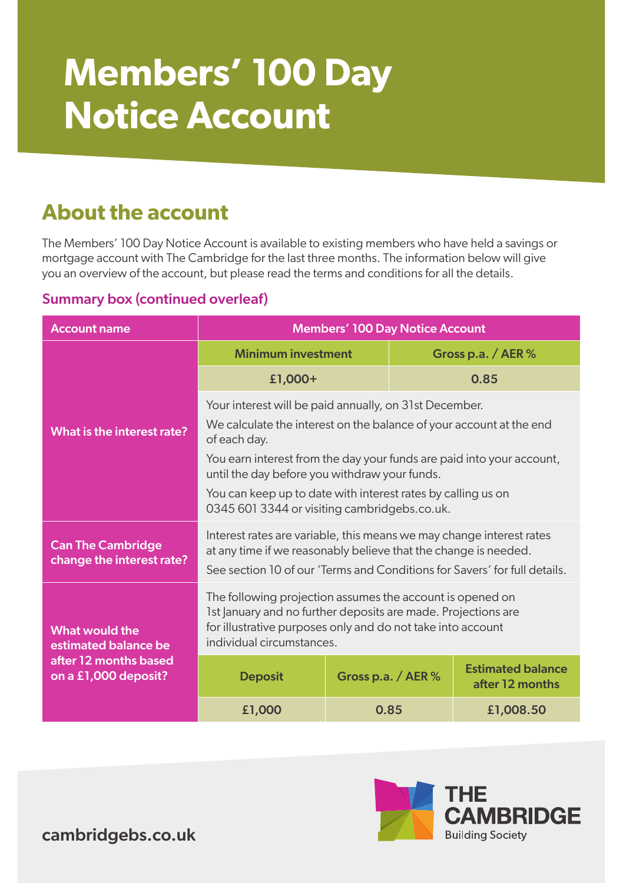# **Members' 100 Day Notice Account**

## **About the account**

The Members' 100 Day Notice Account is available to existing members who have held a savings or mortgage account with The Cambridge for the last three months. The information below will give you an overview of the account, but please read the terms and conditions for all the details.

#### Summary box (continued overleaf)

| <b>Account name</b>                                                                     | <b>Members' 100 Day Notice Account</b>                                                                                                                                                                                 |                      |  |                                             |  |
|-----------------------------------------------------------------------------------------|------------------------------------------------------------------------------------------------------------------------------------------------------------------------------------------------------------------------|----------------------|--|---------------------------------------------|--|
| What is the interest rate?                                                              | <b>Minimum investment</b>                                                                                                                                                                                              |                      |  | Gross p.a. / AER $%$                        |  |
|                                                                                         | £1,000+                                                                                                                                                                                                                |                      |  | 0.85                                        |  |
|                                                                                         | Your interest will be paid annually, on 31st December.<br>We calculate the interest on the balance of your account at the end<br>of each day.                                                                          |                      |  |                                             |  |
|                                                                                         | You earn interest from the day your funds are paid into your account,<br>until the day before you withdraw your funds.                                                                                                 |                      |  |                                             |  |
|                                                                                         | You can keep up to date with interest rates by calling us on<br>0345 601 3344 or visiting cambridgebs.co.uk.                                                                                                           |                      |  |                                             |  |
| <b>Can The Cambridge</b><br>change the interest rate?                                   | Interest rates are variable, this means we may change interest rates<br>at any time if we reasonably believe that the change is needed.<br>See section 10 of our 'Terms and Conditions for Savers' for full details.   |                      |  |                                             |  |
| What would the<br>estimated balance be<br>after 12 months based<br>on a £1,000 deposit? | The following projection assumes the account is opened on<br>1st January and no further deposits are made. Projections are<br>for illustrative purposes only and do not take into account<br>individual circumstances. |                      |  |                                             |  |
|                                                                                         | <b>Deposit</b>                                                                                                                                                                                                         | Gross p.a. / $AER$ % |  | <b>Estimated balance</b><br>after 12 months |  |
|                                                                                         | £1,000                                                                                                                                                                                                                 | 0.85                 |  | £1,008.50                                   |  |



cambridgebs.co.uk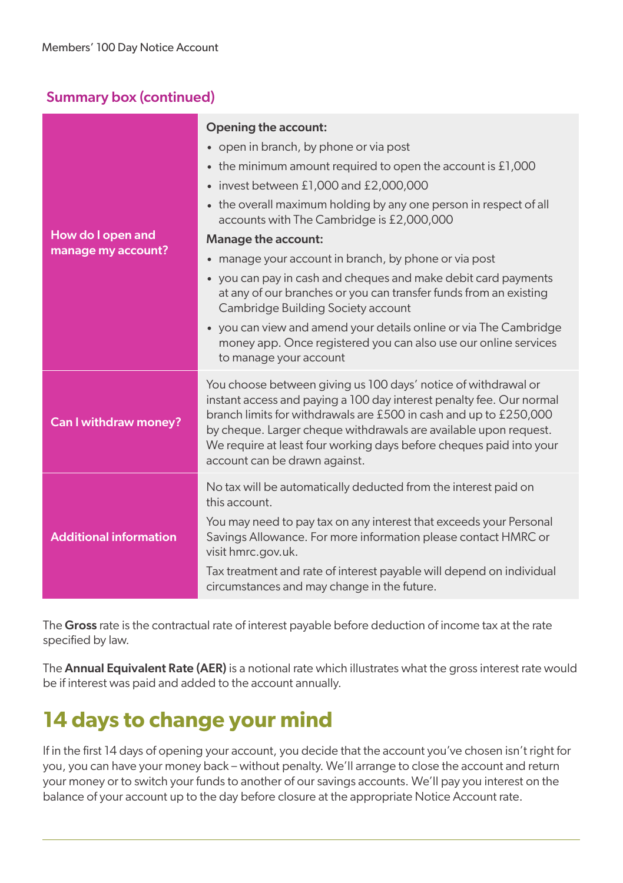#### Summary box (continued)

|                                         | Opening the account:                                                                                                                                                                                                                                                                                                                                                                    |  |  |  |
|-----------------------------------------|-----------------------------------------------------------------------------------------------------------------------------------------------------------------------------------------------------------------------------------------------------------------------------------------------------------------------------------------------------------------------------------------|--|--|--|
| How do I open and<br>manage my account? | • open in branch, by phone or via post                                                                                                                                                                                                                                                                                                                                                  |  |  |  |
|                                         | the minimum amount required to open the account is $£1,000$<br>$\bullet$                                                                                                                                                                                                                                                                                                                |  |  |  |
|                                         | invest between £1,000 and £2,000,000<br>$\bullet$                                                                                                                                                                                                                                                                                                                                       |  |  |  |
|                                         | the overall maximum holding by any one person in respect of all<br>$\bullet$<br>accounts with The Cambridge is £2,000,000                                                                                                                                                                                                                                                               |  |  |  |
|                                         | Manage the account:                                                                                                                                                                                                                                                                                                                                                                     |  |  |  |
|                                         | manage your account in branch, by phone or via post<br>$\bullet$                                                                                                                                                                                                                                                                                                                        |  |  |  |
|                                         | you can pay in cash and cheques and make debit card payments<br>$\bullet$<br>at any of our branches or you can transfer funds from an existing<br>Cambridge Building Society account                                                                                                                                                                                                    |  |  |  |
|                                         | • you can view and amend your details online or via The Cambridge<br>money app. Once registered you can also use our online services<br>to manage your account                                                                                                                                                                                                                          |  |  |  |
| Can I withdraw money?                   | You choose between giving us 100 days' notice of withdrawal or<br>instant access and paying a 100 day interest penalty fee. Our normal<br>branch limits for withdrawals are £500 in cash and up to £250,000<br>by cheque. Larger cheque withdrawals are available upon request.<br>We require at least four working days before cheques paid into your<br>account can be drawn against. |  |  |  |
| <b>Additional information</b>           | No tax will be automatically deducted from the interest paid on<br>this account.<br>You may need to pay tax on any interest that exceeds your Personal<br>Savings Allowance. For more information please contact HMRC or<br>visit hmrc.gov.uk.                                                                                                                                          |  |  |  |
|                                         | Tax treatment and rate of interest payable will depend on individual<br>circumstances and may change in the future.                                                                                                                                                                                                                                                                     |  |  |  |

The Gross rate is the contractual rate of interest payable before deduction of income tax at the rate specified by law.

The **Annual Equivalent Rate (AER)** is a notional rate which illustrates what the gross interest rate would be if interest was paid and added to the account annually.

## **14 days to change your mind**

If in the first 14 days of opening your account, you decide that the account you've chosen isn't right for you, you can have your money back – without penalty. We'll arrange to close the account and return your money or to switch your funds to another of our savings accounts. We'll pay you interest on the balance of your account up to the day before closure at the appropriate Notice Account rate.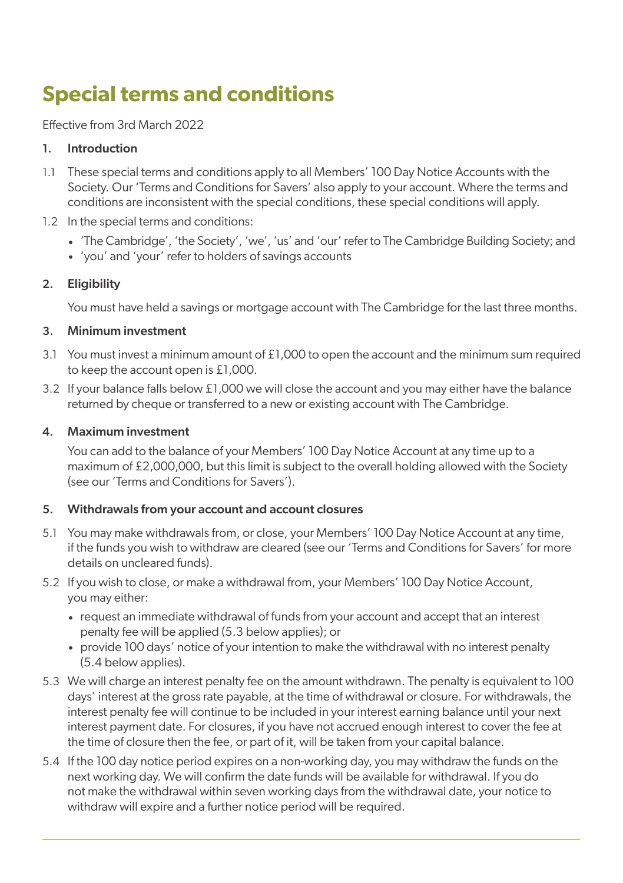## **Special terms and conditions**

Effective from 3rd March 2022

#### 1. Introduction

- 1.1 These special terms and conditions apply to all Members' 100 Day Notice Accounts with the Society. Our 'Terms and Conditions for Savers' also apply to your account. Where the terms and conditions are inconsistent with the special conditions, these special conditions will apply.
- 1.2 In the special terms and conditions:
	- 'The Cambridge', 'the Society', 'we', 'us' and 'our' refer to The Cambridge Building Society; and
	- 'you' and 'your' refer to holders of savings accounts

#### 2. Eligibility

You must have held a savings or mortgage account with The Cambridge for the last three months.

#### 3. Minimum investment

- 3.1 You must invest a minimum amount of £1,000 to open the account and the minimum sum required to keep the account open is £1,000.
- 3.2 If your balance falls below £1,000 we will close the account and you may either have the balance returned by cheque or transferred to a new or existing account with The Cambridge.

#### 4. Maximum investment

You can add to the balance of your Members' 100 Day Notice Account at any time up to a maximum of £2,000,000, but this limit is subject to the overall holding allowed with the Society (see our 'Terms and Conditions for Savers').

#### 5. Withdrawals from your account and account closures

- 5.1 You may make withdrawals from, or close, your Members' 100 Day Notice Account at any time, if the funds you wish to withdraw are cleared (see our 'Terms and Conditions for Savers' for more details on uncleared funds).
- 5.2 If you wish to close, or make a withdrawal from, your Members' 100 Day Notice Account, you may either:
	- request an immediate withdrawal of funds from your account and accept that an interest penalty fee will be applied (5.3 below applies); or
	- provide 100 days' notice of your intention to make the withdrawal with no interest penalty (5.4 below applies).
- 5.3 We will charge an interest penalty fee on the amount withdrawn. The penalty is equivalent to 100 days' interest at the gross rate payable, at the time of withdrawal or closure. For withdrawals, the interest penalty fee will continue to be included in your interest earning balance until your next interest payment date. For closures, if you have not accrued enough interest to cover the fee at the time of closure then the fee, or part of it, will be taken from your capital balance.
- 5.4 If the 100 day notice period expires on a non-working day, you may withdraw the funds on the next working day. We will confirm the date funds will be available for withdrawal. If you do not make the withdrawal within seven working days from the withdrawal date, your notice to withdraw will expire and a further notice period will be required.